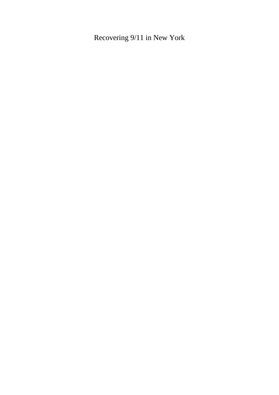## Recovering 9/11 in New York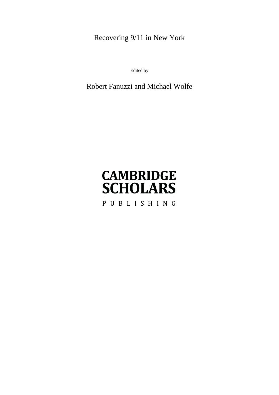Recovering 9/11 in New York

Edited by

Robert Fanuzzi and Michael Wolfe

# **CAMBRIDGE SCHOLARS** PUBLISHING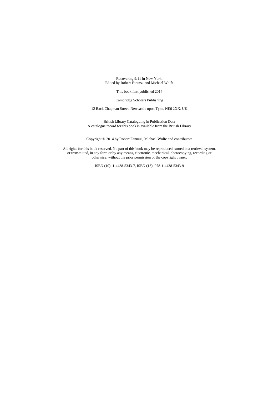Recovering 9/11 in New York, Edited by Robert Fanuzzi and Michael Wolfe

This book first published 2014

Cambridge Scholars Publishing

12 Back Chapman Street, Newcastle upon Tyne, NE6 2XX, UK

British Library Cataloguing in Publication Data A catalogue record for this book is available from the British Library

Copyright © 2014 by Robert Fanuzzi, Michael Wolfe and contributors

All rights for this book reserved. No part of this book may be reproduced, stored in a retrieval system, or transmitted, in any form or by any means, electronic, mechanical, photocopying, recording or otherwise, without the prior permission of the copyright owner.

ISBN (10): 1-4438-5343-7, ISBN (13): 978-1-4438-5343-9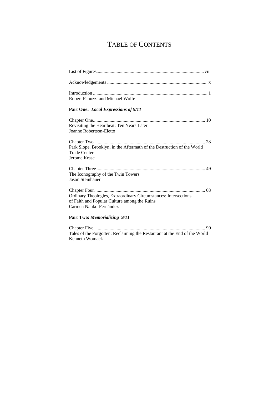## TABLE OF CONTENTS

| Robert Fanuzzi and Michael Wolfe                                                                                                          |
|-------------------------------------------------------------------------------------------------------------------------------------------|
| Part One: Local Expressions of 9/11                                                                                                       |
| Revisiting the Heartbeat: Ten Years Later<br>Joanne Robertson-Eletto                                                                      |
| Park Slope, Brooklyn, in the Aftermath of the Destruction of the World<br><b>Trade Center</b><br>Jerome Krase                             |
| The Iconography of the Twin Towers<br>Jason Steinhauer                                                                                    |
| Ordinary Theologies, Extraordinary Circumstances: Intersections<br>of Faith and Popular Culture among the Ruins<br>Carmen Nanko-Fernández |
|                                                                                                                                           |

## **Part Two:** *Memorializing 9/11*

Chapter Five .............................................................................................. 90 Tales of the Forgotten: Reclaiming the Restaurant at the End of the World Kenneth Womack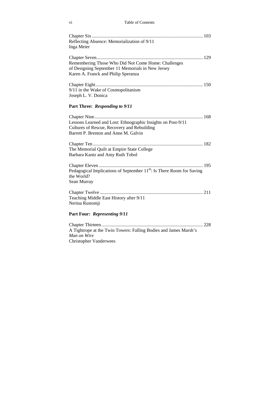| Reflecting Absence: Memorialization of 9/11<br>Inga Meier                                                                                            |
|------------------------------------------------------------------------------------------------------------------------------------------------------|
| Remembering Those Who Did Not Come Home: Challenges<br>of Designing September 11 Memorials in New Jersey<br>Karen A. Franck and Philip Speranza      |
| 9/11 in the Wake of Cosmopolitanism<br>Joseph L. V. Donica                                                                                           |
| Part Three: Responding to 9/11                                                                                                                       |
| Lessons Learned and Lost: Ethnographic Insights on Post-9/11<br>Cultures of Rescue, Recovery and Rebuilding<br>Barrett P. Brenton and Anne M. Galvin |
| The Memorial Quilt at Empire State College<br>Barbara Kantz and Amy Ruth Tobol                                                                       |
| Pedagogical Implications of September 11 <sup>th</sup> : Is There Room for Saving<br>the World?<br>Sean Murray                                       |
| Teaching Middle East History after 9/11<br>Nerina Rustomji                                                                                           |
| Part Four: Representing 9/11                                                                                                                         |
| A Tightrope at the Twin Towers: Falling Bodies and James Marsh's<br>Man on Wire                                                                      |

Christopher Vanderwees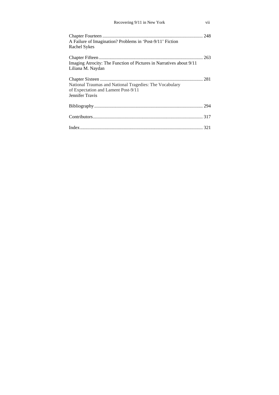| A Failure of Imagination? Problems in 'Post-9/11' Fiction<br>Rachel Sykes                                         |  |
|-------------------------------------------------------------------------------------------------------------------|--|
| Imaging Atrocity: The Function of Pictures in Narratives about 9/11<br>Liliana M. Naydan                          |  |
| National Traumas and National Tragedies: The Vocabulary<br>of Expectation and Lament Post-9/11<br>Jennifer Travis |  |
|                                                                                                                   |  |
|                                                                                                                   |  |
|                                                                                                                   |  |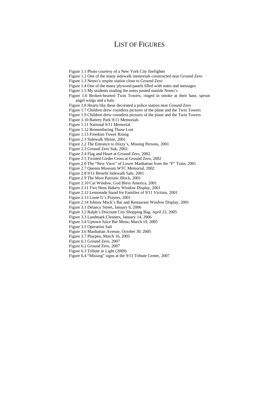## LIST OF FIGURES

- Figure 1.1 Photo courtesy of a New York City firefighter
- Figure 1.2 One of the many sidewalk memorials constructed near Ground Zero
- Figure 1.3 Nemo's respite station close to Ground Zero
- Figure 1.4 One of the many plywood panels filled with notes and messages
- Figure 1.5 My students reading the notes posted outside Nemo's
- Figure 1.6 Broken-hearted Twin Towers, ringed in smoke at their base, sprout angel wings and a halo
- Figure 1.8 Hearts like these decorated a police station near Ground Zero
- Figure 1.7 Children drew countless pictures of the plane and the Twin Towers
- Figure 1.9 Children drew countless pictures of the plane and the Twin Towers
- Figure 1.10 Battery Park 9/11 Memorials
- Figure 1.11 National 9/11 Memorial
- Figure 1.12 Remembering Those Lost
- Figure 1.13 Freedom Tower Rising
- Figure 2.1 Sidewalk Shrine, 2001
- Figure 2.2 The Entrance to Dizzy's, Missing Persons, 2001
- Figure 2.3 Ground Zero Suk, 2002.
- Figure 2.4 Flag and Heart at Ground Zero, 2002.
- Figure 2.5 Twisted Girder Cross at Ground Zero, 2002
- Figure 2.6 The "New View" of Lower Manhattan from the "F" Train, 2001
- Figure 2.7 Queens Museum WTC Memorial, 2002
- Figure 2.8 9/11 Benefit Sidewalk Sale, 2001
- Figure 2.9 The Most Patriotic Block, 2001
- Figure 2.10 Car Window, God Bless America, 2001
- Figure 2.11 Two Hens Bakery Window Display, 2001
- Figure 2.12 Lemonade Stand for Families of 9/11 Victims, 2001
- Figure 2.13 Louie G's Prayers, 2001
- Figure 2.14 Johnny Mack's Bar and Restaurant Window Display, 2001
- Figure 3.1 Delancy Street, January 6, 2006
- Figure 3.2 Ralph's Discount City Shopping Bag, April 23, 2005
- Figure 3.3 Landmark Cleaners, January 14, 2006
- Figure 3.4 Uptown Juice Bar Menu, March 19, 2005
- Figure 3.5 Operation Sail
- Figure 3.6 Manhattan Avenue, October 30, 2005
- Figure 3.7 Playpen, March 16, 2005
- Figure 6.1 Ground Zero, 2007
- Figure 6.2 Ground Zero, 2007
- Figure 6.3 Tribute in Light (2009)
- Figure 6.4 "Missing" signs at the 9/11 Tribute Center, 2007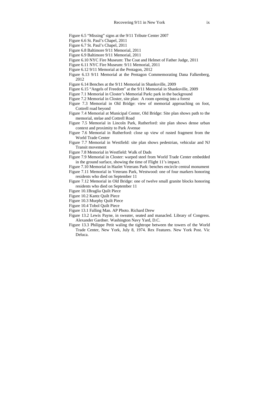- Figure 6.5 "Missing" signs at the 9/11 Tribute Center 2007
- Figure 6.6 St. Paul's Chapel, 2011
- Figure 6.7 St. Paul's Chapel, 2011
- Figure 6.8 Baltimore 9/11 Memorial, 2011
- Figure 6.9 Baltimore 9/11 Memorial, 2011
- Figure 6.10 NYC Fire Museum: The Coat and Helmet of Father Judge, 2011
- Figure 6.11 NYC Fire Museum: 9/11 Memorial, 2011
- Figure 6.12 9/11 Memorial at the Pentagon, 2012
- Figure 6.13 9/11 Memorial at the Pentagon Commemorating Dana Falkenberg, 2012
- Figure 6.14 Benches at the 9/11 Memorial in Shanksville, 2009
- Figure 6.15 "Angels of Freedom" at the 9/11 Memorial in Shanksville, 2009
- Figure 7.1 Memorial in Closter's Memorial Park**:** park in the background
- Figure 7.2 Memorial in Closter, site plan: A room opening into a forest
- Figure 7.3 Memorial in Old Bridge: view of memorial approaching on foot, Cottrell road beyond
- Figure 7.4 Memorial at Municipal Center, Old Bridge: Site plan shows path to the memorial, stelae and Cottrell Road
- Figure 7.5 Memorial in Lincoln Park, Rutherford: site plan shows dense urban context and proximity to Park Avenue
- Figure 7.6 Memorial in Rutherford: close up view of rusted fragment from the World Trade Center
- Figure 7.7 Memorial in Westfield: site plan shows pedestrian, vehicular and NJ Transit movement
- Figure 7.8 Memorial in Westfield: Walk of Dads
- Figure 7.9 Memorial in Closter: warped steel from World Trade Center embedded in the ground surface, showing the time of Flight 11's impact.
- Figure 7.10 Memorial in Hazlet Veterans Park: benches encircle central monument
- Figure 7.11 Memorial in Veterans Park, Westwood: one of four markers honoring residents who died on September 11
- Figure 7.12 Memorial in Old Bridge: one of twelve small granite blocks honoring residents who died on September 11
- Figure 10.1Braglia Quilt Piece
- Figure 10.2 Kantz Quilt Piece
- Figure 10.3 Murphy Quilt Piece
- Figure 10.4 Tobol Quilt Piece
- Figure 13.1 Falling Man. AP Photo. Richard Drew
- Figure 13.2 Lewis Payne, in sweater, seated and manacled. Library of Congress. Alexander Gardner. Washington Navy Yard, D.C.
- Figure 13.3 Philippe Petit waling the tightrope between the towers of the World Trade Center, New York, July 8, 1974. Rex Features. New York Post. Vic Deluca.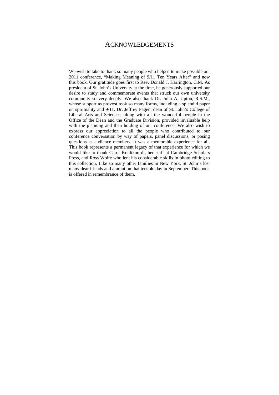### ACKNOWLEDGEMENTS

We wish to take to thank so many people who helped to make possible our 2011 conference, "Making Meaning of 9/11 Ten Years After" and now this book. Our gratitude goes first to Rev. Donald J. Harrington, C.M. As president of St. John's University at the time, he generously supported our desire to study and commemorate events that struck our own university community so very deeply. We also thank Dr. Julia A. Upton, R.S.M., whose support as provost took so many forms, including a splendid paper on spirituality and 9/11. Dr. Jeffrey Fagen, dean of St. John's College of Liberal Arts and Sciences, along with all the wonderful people in the Office of the Dean and the Graduate Division, provided invaluable help with the planning and then holding of our conference. We also wish to express our appreciation to all the people who contributed to our conference conversation by way of papers, panel discussions, or posing questions as audience members. It was a memorable experience for all. This book represents a permanent legacy of that experience for which we would like to thank Carol Koulikourdi, her staff at Cambridge Scholars Press, and Ross Wolfe who lent his considerable skills in photo editing to this collection. Like so many other families in New York, St. John's lost many dear friends and alumni on that terrible day in September. This book is offered in remembrance of them.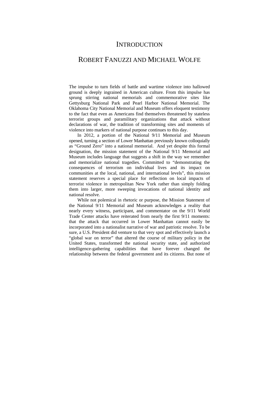## **INTRODUCTION**

## ROBERT FANUZZI AND MICHAEL WOLFE

The impulse to turn fields of battle and wartime violence into hallowed ground is deeply ingrained in American culture. From this impulse has sprung stirring national memorials and commemorative sites like Gettysburg National Park and Pearl Harbor National Memorial. The Oklahoma City National Memorial and Museum offers eloquent testimony to the fact that even as Americans find themselves threatened by stateless terrorist groups and paramilitary organizations that attack without declarations of war, the tradition of transforming sites and moments of violence into markers of national purpose continues to this day.

In 2012, a portion of the National 9/11 Memorial and Museum opened, turning a section of Lower Manhattan previously known colloquially as "Ground Zero" into a national memorial. And yet despite this formal designation, the mission statement of the National 9/11 Memorial and Museum includes language that suggests a shift in the way we remember and memorialize national tragedies. Committed to "demonstrating the consequences of terrorism on individual lives and its impact on communities at the local, national, and international levels", this mission statement reserves a special place for reflection on local impacts of terrorist violence in metropolitan New York rather than simply folding them into larger, more sweeping invocations of national identity and national resolve.

While not polemical in rhetoric or purpose, the Mission Statement of the National 9/11 Memorial and Museum acknowledges a reality that nearly every witness, participant, and commentator on the 9/11 World Trade Center attacks have reiterated from nearly the first 9/11 moments: that the attack that occurred in Lower Manhattan cannot easily be incorporated into a nationalist narrative of war and patriotic resolve. To be sure, a U.S. President did venture to that very spot and effectively launch a "global war on terror" that altered the course of military policy in the United States, transformed the national security state, and authorized intelligence-gathering capabilities that have forever changed the relationship between the federal government and its citizens. But none of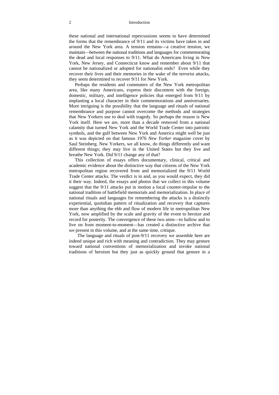#### 2 Introduction

these national and international repercussions seems to have determined the forms that the remembrance of 9/11 and its victims have taken in and around the New York area. A tension remains—a creative tension, we maintain—between the national traditions and languages for commemorating the dead and local responses to 9/11. What do Americans living in New York, New Jersey, and Connecticut know and remember about 9/11 that cannot be nationalized or adopted for nationalist ends? Even while they recover their lives and their memories in the wake of the terrorist attacks, they seem determined to recover 9/11 for New York.

 Perhaps the residents and commuters of the New York metropolitan area, like many Americans, express their discontent with the foreign, domestic, military, and intelligence policies that emerged from 9/11 by implanting a local character in their commemorations and anniversaries. More intriguing is the possibility that the language and rituals of national remembrance and purpose cannot overcome the methods and strategies that New Yorkers use to deal with tragedy. So perhaps the reason is New York itself. Here we are, more than a decade removed from a national calamity that turned New York and the World Trade Center into patriotic symbols, and the gulf between New York and America might well be just as it was depicted on that famous 1976 *New Yorker* magazine cover by Saul Steinberg. New Yorkers, we all know, do things differently and want different things; they may live in the United States but they live and breathe New York. Did 9/11 change any of that?

 This collection of essays offers documentary, clinical, critical and academic evidence about the distinctive way that citizens of the New York metropolitan region recovered from and memorialized the 9/11 World Trade Center attacks. The verdict is in and, as you would expect, they did it their way. Indeed, the essays and photos that we collect in this volume suggest that the 9/11 attacks put in motion a local counter-impulse to the national tradition of battlefield memorials and memorialization. In place of national rituals and languages for remembering the attacks is a distinctly experiential, quotidian pattern of ritualization and recovery that captures more than anything the ebb and flow of modern life in metropolitan New York, now amplified by the scale and gravity of the event to heroize and record for posterity. The convergence of these two aims—to hallow and to live on from moment-to-moment—has created a distinctive archive that we present in this volume, and at the same time, critique.

The language and rituals of post-9/11 recovery we assemble here are indeed unique and rich with meaning and contradiction. They may gesture toward national conventions of memorialization and invoke national traditions of heroism but they just as quickly ground that gesture in a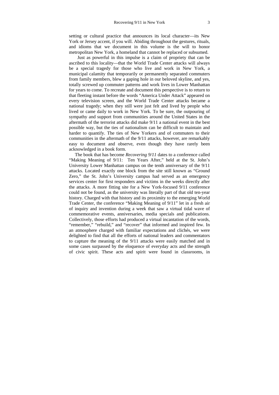setting or cultural practice that announces its local character—its New York or Jersey accent, if you will. Abiding throughout the gestures, rituals, and idioms that we document in this volume is the will to honor metropolitan New York, a homeland that cannot be replaced or subsumed.

Just as powerful in this impulse is a claim of propriety that can be ascribed to this locality—that the World Trade Center attacks will always be a special tragedy for those who live and work in New York, a municipal calamity that temporarily or permanently separated commuters from family members, blew a gaping hole in our beloved skyline, and yes, totally screwed up commuter patterns and work lives in Lower Manhattan for years to come. To recreate and document this perspective is to return to that fleeting instant before the words "America Under Attack" appeared on every television screen, and the World Trade Center attacks became a national tragedy; when they still were just felt and lived by people who lived or came daily to work in New York. To be sure, the outpouring of sympathy and support from communities around the United States in the aftermath of the terrorist attacks did make 9/11 a national event in the best possible way, but the ties of nationalism can be difficult to maintain and harder to quantify. The ties of New Yorkers and of commuters to their communities in the aftermath of the 9/11 attacks, however, are remarkably easy to document and observe, even though they have rarely been acknowledged in a book form.

 The book that has become *Recovering 9/11* dates to a conference called "Making Meaning of 9/11: Ten Years After," held at the St. John's University Lower Manhattan campus on the tenth anniversary of the 9/11 attacks. Located exactly one block from the site still known as "Ground Zero," the St. John's University campus had served as an emergency services center for first responders and victims in the weeks directly after the attacks. A more fitting site for a New York-focused 9/11 conference could not be found, as the university was literally part of that old ten-year history. Charged with that history and its proximity to the emerging World Trade Center, the conference "Making Meaning of 9/11" let in a fresh air of inquiry and invention during a week that saw a virtual tidal wave of commemorative events, anniversaries, media specials and publications. Collectively, those efforts had produced a virtual incantation of the words, "remember," "rebuild," and "recover" that informed and inspired few. In an atmosphere charged with familiar expectations and clichés, we were delighted to find that all the efforts of national leaders and commentators to capture the meaning of the 9/11 attacks were easily matched and in some cases surpassed by the eloquence of everyday acts and the strength of civic spirit. These acts and spirit were found in classrooms, in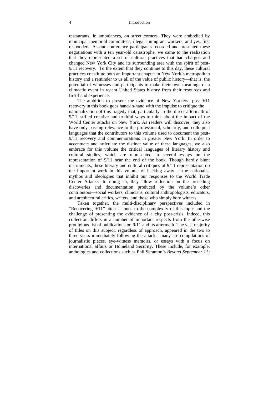#### 4 Introduction

restaurants, in ambulances, on street corners. They were embodied by municipal memorial committees, illegal immigrant workers, and yes, first responders. As our conference participants recorded and presented these negotiations with a ten year-old catastrophe, we came to the realization that they represented a set of cultural practices that had charged and changed New York City and its surrounding area with the spirit of post-9/11 recovery. To the extent that they continue to this day, these cultural practices constitute both an important chapter in New York's metropolitan history and a reminder to us all of the value of public history—that is, the potential of witnesses and participants to make their own meanings of a climactic event in recent United States history from their resources and first-hand experience.

The ambition to present the evidence of New Yorkers' post-9/11 recovery in this book goes hand-in-hand with the impulse to critique the nationalization of this tragedy that, particularly in the direct aftermath of 9/11, stifled creative and truthful ways to think about the impact of the World Center attacks on New York. As readers will discover, they also have only passing relevance to the professional, scholarly, and colloquial languages that the contributors to this volume used to document the post-9/11 recovery and commemorations in greater New York. In order to accentuate and articulate the distinct value of these languages, we also embrace for this volume the critical languages of literary history and cultural studies, which are represented in several essays on the representation of 9/11 near the end of the book. Though hardly blunt instruments, these literary and cultural critiques of 9/11 representation do the important work in this volume of hacking away at the nationalist mythos and ideologies that inhibit our responses to the World Trade Center Attacks. In doing so, they allow reflection on the preceding discoveries and documentation produced by the volume's other contributors—social workers, clinicians, cultural anthropologists, educators, and architectural critics, writers, and those who simply bore witness.

Taken together, the multi-disciplinary perspectives included in "Recovering 9/11" attest at once to the complexity of this topic and the challenge of presenting the evidence of a city post-crisis. Indeed, this collection differs in a number of important respects from the otherwise prodigious list of publications on 9/11 and its aftermath. The vast majority of titles on this subject, regardless of approach, appeared in the two to three years immediately following the attacks; many are compilations of journalistic pieces, eye-witness memoirs, or essays with a focus on international affairs or Homeland Security. These include, for example, anthologies and collections such as Phil Scranton's *Beyond September 11:*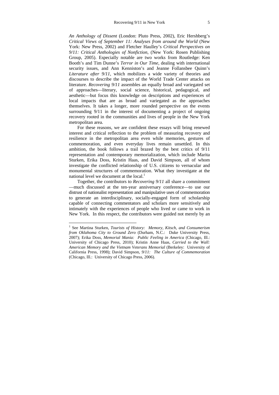*An Anthology of Dissent* (London: Pluto Press, 2002), Eric Hershberg's *Critical Views of September 11: Analyses from around the World* (New York: New Press, 2002) and Fletcher Haulley's *Critical Perspectives on 9/11: Critical Anthologies of Nonfiction*, (New York: Rosen Publishing Group, 2005). Especially notable are two works from Routledge: Ken Booth's and Tim Dunne's *Terror in Our Time*, dealing with international security issues, and Ann Kenniston's and Jeanne Follansbee Quinn's *Literature after 9/11*, which mobilizes a wide variety of theories and discourses to describe the impact of the World Trade Center attacks on literature. *Recovering 9/11* assembles an equally broad and variegated set of approaches—literary, social science, historical, pedagogical, and aesthetic—but focus this knowledge on descriptions and experiences of local impacts that are as broad and variegated as the approaches themselves. It takes a longer, more rounded perspective on the events surrounding 9/11 in the interest of documenting a project of ongoing recovery rooted in the communities and lives of people in the New York metropolitan area.

For these reasons, we are confident these essays will bring renewed interest and critical reflection to the problem of measuring recovery and resilience in the metropolitan area even while memories, gestures of commemoration, and even everyday lives remain unsettled. In this ambition, the book follows a trail brazed by the best critics of 9/11 representation and contemporary memorialization, which include Marita Sturken, Erika Doss, Kristin Haas, and David Simpson, all of whom investigate the conflicted relationship of U.S. citizens to vernacular and monumental structures of commemoration. What they investigate at the national level we document at the local. $<sup>1</sup>$ </sup>

Together, the contributors to *Recovering 9/11* all share a commitment —much discussed at the ten-year anniversary conference—to use our distrust of nationalist representation and manipulative uses of commemoration to generate an interdisciplinary, socially-engaged form of scholarship capable of connecting commentators and scholars more sensitively and intimately with the experiences of people who lived or came to work in New York. In this respect, the contributors were guided not merely by an

1

<sup>&</sup>lt;sup>1</sup> See Martina Sturken, *Tourists of History: Memory, Kitsch, and Consumerism from Oklahoma City to Ground Zero* (Durham, N.C.: Duke University Press, 2007); Erika Doss, *Memorial Mania: Public Feeling in America* (Chicago, Ill.: University of Chicago Press, 2010); Kristin Anne Haas, *Carried to the Wall: American Memory and the Vietnam Veterans Memorial* (Berkeley: University of California Press, 1998); David Simpson, *9/11: The Culture of Commemoration*  (Chicago, Ill.: University of Chicago Press, 2006).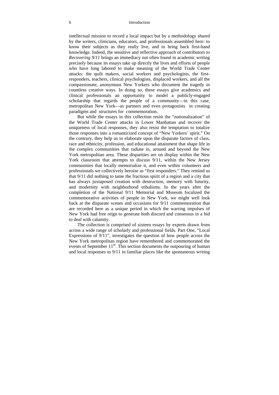#### 6 Introduction

intellectual mission to record a local impact but by a methodology shared by the writers, clinicians, educators, and professionals assembled here: to know their subjects as they really live, and to bring back first-hand knowledge. Indeed, the sensitive and reflective approach of contributors to *Recovering 9/11* brings an immediacy not often found in academic writing precisely because its essays take up directly the lives and efforts of people who have long labored to make meaning of the World Trade Center attacks: the quilt makers, social workers and psychologists, the firstresponders, teachers, clinical psychologists, displaced workers, and all the compassionate, anonymous New Yorkers who document the tragedy in countless creative ways. In doing so, these essays give academics and clinical professionals an opportunity to model a publicly-engaged scholarship that regards the people of a community—in this case, metropolitan New York—as partners and even protagonists in creating paradigms and structures for commemoration.

But while the essays in this collection resist the "nationalization" of the World Trade Center attacks in Lower Manhattan and recover the uniqueness of local responses, they also resist the temptation to totalize those responses into a romanticized concept of "New Yorkers' spirit." On the contrary, they help us to elaborate upon the disparate factors of class, race and ethnicity, profession, and educational attainment that shape life in the complex communities that radiate in, around and beyond the New York metropolitan area. These disparities are on display within the New York classroom that attempts to discuss 9/11, within the New Jersey communities that locally memorialize it, and even within volunteers and professionals we collectively heroize as "first responders." They remind us that 9/11 did nothing to tame the fractious spirit of a region and a city that has always juxtaposed creation with destruction, memory with futurity, and modernity with neighborhood tribalisms. In the years after the completion of the National 9/11 Memorial and Museum focalized the commemorative activities of people in New York, we might well look back at the disparate scenes and occasions for 9/11 commemoration that are recorded here as a unique period in which the warring impulses of New York had free reign to generate both discord and consensus in a bid to deal with calamity.

The collection is comprised of sixteen essays by experts drawn from across a wide range of scholarly and professional fields. Part One, "Local Expressions of 9/11", investigates the question of how people across the New York metropolitan region have remembered and commemorated the events of September  $11<sup>th</sup>$ . This section documents the outpouring of human and local responses to 9/11 in familiar places like the spontaneous writing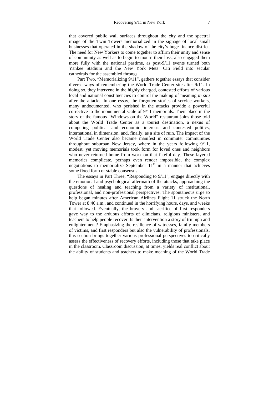that covered public wall surfaces throughout the city and the spectral image of the Twin Towers memorialized in the signage of local small businesses that operated in the shadow of the city's huge finance district. The need for New Yorkers to come together to affirm their unity and sense of community as well as to begin to mourn their loss, also engaged them more fully with the national pastime, as post-9/11 events turned both Yankee Stadium and the New York Mets' Citi Field into secular cathedrals for the assembled throngs.

Part Two, "Memorializing 9/11", gathers together essays that consider diverse ways of remembering the World Trade Center site after 9/11. In doing so, they intervene in the highly charged, contested efforts of various local and national constituencies to control the making of meaning *in situ* after the attacks. In one essay, the forgotten stories of service workers, many undocumented, who perished in the attacks provide a powerful corrective to the monumental scale of 9/11 memorials. Their place in the story of the famous "Windows on the World" restaurant joins those told about the World Trade Center as a tourist destination, a nexus of competing political and economic interests and contested politics, international in dimension, and, finally, as a site of ruin. The impact of the World Trade Center also became manifest in commuter communities throughout suburban New Jersey, where in the years following 9/11, modest, yet moving memorials took form for loved ones and neighbors who never returned home from work on that fateful day. These layered memories complicate, perhaps even render impossible, the complex negotiations to memorialize September  $11<sup>th</sup>$  in a manner that achieves some fixed form or stable consensus.

The essays in Part Three, "Responding to 9/11", engage directly with the emotional and psychological aftermath of the attacks, approaching the questions of healing and teaching from a variety of institutional, professional, and non-professional perspectives. The spontaneous urge to help began minutes after American Airlines Flight 11 struck the North Tower at 8:46 a.m., and continued in the horrifying hours, days, and weeks that followed. Eventually, the bravery and sacrifice of first responders gave way to the arduous efforts of clinicians, religious ministers, and teachers to help people recover. Is their intervention a story of triumph and enlightenment? Emphasizing the resilience of witnesses, family members of victims, and first responders but also the vulnerability of professionals, this section brings together various professional perspectives to critically assess the effectiveness of recovery efforts, including those that take place in the classroom. Classroom discussion, at times, yields real conflict about the ability of students and teachers to make meaning of the World Trade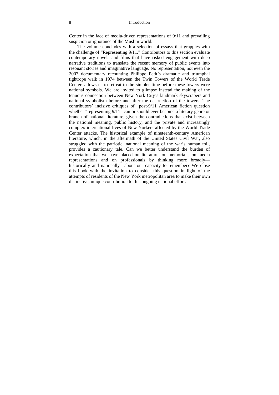Center in the face of media-driven representations of 9/11 and prevailing suspicion or ignorance of the Muslim world.

The volume concludes with a selection of essays that grapples with the challenge of "Representing 9/11." Contributors to this section evaluate contemporary novels and films that have risked engagement with deep narrative traditions to translate the recent memory of public events into resonant stories and imaginative language. No representation, not even the 2007 documentary recounting Philippe Petit's dramatic and triumphal tightrope walk in 1974 between the Twin Towers of the World Trade Center, allows us to retreat to the simpler time before these towers were national symbols. We are invited to glimpse instead the making of the tenuous connection between New York City's landmark skyscrapers and national symbolism before and after the destruction of the towers. The contributors' incisive critiques of post-9/11 American fiction question whether "representing  $9/11$ " can or should ever become a literary genre or branch of national literature, given the contradictions that exist between the national meaning, public history, and the private and increasingly complex international lives of New Yorkers affected by the World Trade Center attacks. The historical example of nineteenth-century American literature, which, in the aftermath of the United States Civil War, also struggled with the patriotic, national meaning of the war's human toll, provides a cautionary tale. Can we better understand the burden of expectation that we have placed on literature, on memorials, on media representations and on professionals by thinking more broadly historically and nationally—about our capacity to remember? We close this book with the invitation to consider this question in light of the attempts of residents of the New York metropolitan area to make their own distinctive, unique contribution to this ongoing national effort.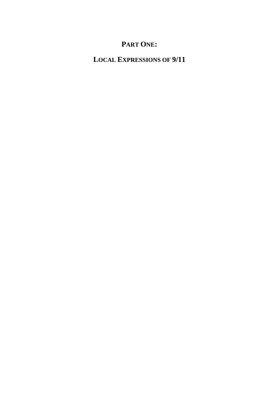## **PART ONE:**

## **LOCAL EXPRESSIONS OF 9/11**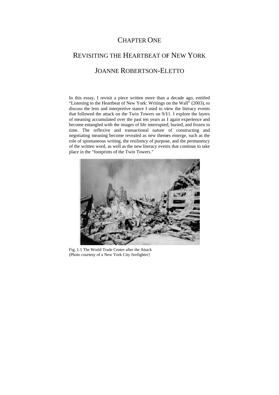## CHAPTER ONE

# REVISITING THE HEARTBEAT OF NEW YORK JOANNE ROBERTSON-ELETTO

In this essay, I revisit a piece written more than a decade ago, entitled "Listening to the Heartbeat of New York: Writings on the Wall" (2003), to discuss the lens and interpretive stance I used to view the literacy events that followed the attack on the Twin Towers on 9/11. I explore the layers of meaning accumulated over the past ten years as I again experience and become entangled with the images of life interrupted, buried, and frozen in time. The reflexive and transactional nature of constructing and negotiating meaning become revealed as new themes emerge, such as the role of spontaneous writing, the resiliency of purpose, and the permanency of the written word, as well as the new literacy events that continue to take place in the "footprints of the Twin Towers."



Fig. 1.1 The World Trade Center after the Attack (Photo courtesy of a New York City firefighter)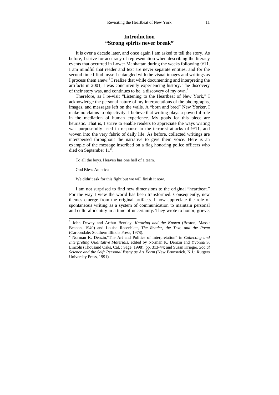### **Introduction "Strong spirits never break"**

It is over a decade later, and once again I am asked to tell the story. As before, I strive for accuracy of representation when describing the literacy events that occurred in Lower Manhattan during the weeks following 9/11. I am mindful that reader and text are never separate entities, and for the second time I find myself entangled with the visual images and writings as I process them anew.<sup>1</sup> I realize that while documenting and interpreting the artifacts in 2001, I was concurrently experiencing history. The discovery of their story was, and continues to be, a discovery of my own.2

Therefore, as I re-visit "Listening to the Heartbeat of New York," I acknowledge the personal nature of my interpretations of the photographs, images, and messages left on the walls. A "born and bred" New Yorker, I make no claims to objectivity. I believe that writing plays a powerful role in the mediation of human experience. My goals for this piece are heuristic. That is, I strive to enable readers to appreciate the ways writing was purposefully used in response to the terrorist attacks of 9/11, and woven into the very fabric of daily life. As before, collected writings are interspersed throughout the narrative to give them voice. Here is an example of the message inscribed on a flag honoring police officers who died on September  $11^{th}$ .

To all the boys. Heaven has one hell of a team.

God Bless America

-

We didn't ask for this fight but we will finish it now.

I am not surprised to find new dimensions to the original "heartbeat." For the way I view the world has been transformed. Consequently, new themes emerge from the original artifacts. I now appreciate the role of spontaneous writing as a system of communication to maintain personal and cultural identity in a time of uncertainty. They wrote to honor, grieve,

<sup>&</sup>lt;sup>1</sup> John Dewey and Arthur Bentley, *Knowing and the Known* (Boston, Mass.: Beacon, 1949) and Louise Rosenblatt, *The Reader, the Text, and the Poem*  (Carbondale: Southern Illinois Press, 1978). 2 Norman K. Denzin,"The Art and Politics of Interpretation" in *Collecting and* 

*Interpreting Qualitative Materials,* edited by Norman K. Denzin and Yvonna S. Lincoln (Thousand Oaks, Cal. : Sage, 1998), pp. 313-44; and Susan Krieger, *Social Science and the Self: Personal Essay as Art Form* (New Brunswick, N.J.: Rutgers University Press, 1991).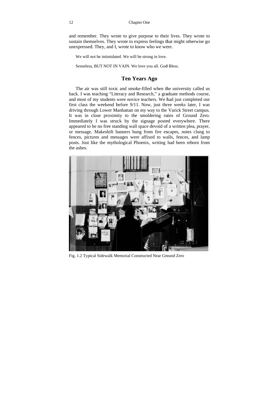Chapter One

and remember. They wrote to give purpose to their lives. They wrote to sustain themselves. They wrote to express feelings that might otherwise go unexpressed. They, and I, wrote to know who we were.

We will not be intimidated. We will be strong in love.

Senseless, BUT NOT IN VAIN. We love you all. God Bless.

### **Ten Year rs Ago**

The air was still toxic and smoke-filled when the university called us back. I was teaching "Literacy and Research," a graduate methods course, and most of my students were novice teachers. We had just completed our first class the weekend before  $9/11$ . Now, just three weeks later, I was driving through Lower Manhattan on my way to the Varick Street campus. It was in close proximity to the smoldering ruins of Ground Zero. Immediately I was struck by the signage posted everywhere. There appeared to be no free standing wall space devoid of a written plea, prayer, or message. Makeshift banners hung from fire escapes, notes clung to fences, pictures and messages were affixed to walls, fences, and lamp posts. Just like the mythological Phoenix, writing had been reborn from the ashes.



Fig. 1.2 Typical Sidewalk Memorial Constructed Near Ground Zero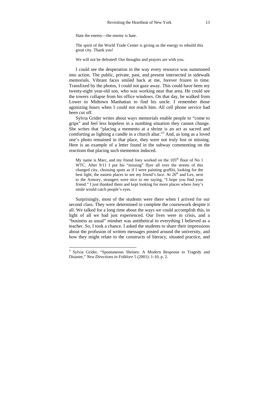Hate the enemy—the enemy is hate.

The spirit of the World Trade Center is giving us the energy to rebuild this great city. Thank you!

We will not be defeated! Our thoughts and prayers are with you.

I could see the desperation in the way every resource was summoned into action. The public, private, past, and present intersected in sidewalk memorials. Vibrant faces smiled back at me, forever frozen in time. Transfixed by the photos, I could not gaze away. This could have been my twenty-eight year-old son, who was working near that area. He could see the towers collapse from his office windows. On that day, he walked from Lower to Midtown Manhattan to find his uncle. I remember those agonizing hours when I could not reach him. All cell phone service had been cut off.

Sylvia Grider writes about ways memorials enable people to "come to grips" and feel less hopeless in a numbing situation they cannot change. She writes that "placing a memento at a shrine is an act as sacred and comforting as lighting a candle in a church altar."<sup>3</sup> And, as long as a loved one's photo remained in that place, they were not truly lost or missing. Here is an example of a letter found in the subway commenting on the reactions that placing such mementos induced.

My name is Marc, and my friend Joey worked on the 105<sup>th</sup> floor of No 1 WTC. After  $9/11$  I put his "missing" flyer all over the streets of this changed city, choosing spots as if I were painting graffiti, looking for the best light, the easiest places to see my friend's face. At 26<sup>th</sup> and Lex, next to the Armory, strangers were nice to me saying, "I hope you find your friend." I just thanked them and kept looking for more places where Joey's smile would catch people's eyes.

Surprisingly, most of the students were there when I arrived for our second class. They were determined to complete the coursework despite it all. We talked for a long time about the ways we could accomplish this, in light of all we had just experienced. Our lives were in crisis, and a "business as usual" mindset was antithetical to everything I believed as a teacher. So, I took a chance. I asked the students to share their impressions about the profusion of written messages posted around the university, and how they might relate to the constructs of literacy, situated practice, and

 3 Sylvia Grider, "Spontaneous Shrines: A Modern Response to Tragedy and Disaster," *New Directions in Folklore* 5 (2001): 1-10, p. 2.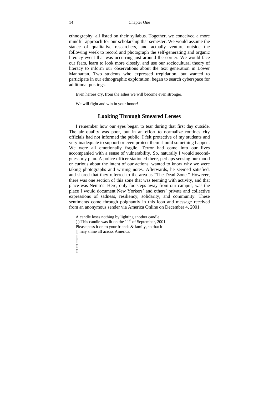ethnography, all listed on their syllabus. Together, we conceived a more mindful approach for our scholarship that semester. We would assume the stance of qualitative researchers, and actually venture outside the following week to record and photograph the self-generating and organic literacy event that was occurring just around the corner. We would face our fears, learn to look more closely, and use our sociocultural theory of literacy to inform our observations about the text generation in Lower Manhattan. Two students who expressed trepidation, but wanted to participate in our ethnographic exploration, began to search cyberspace for additional postings.

Even heroes cry, from the ashes we will become even stronger.

We will fight and win in your honor!

### **Looking Through Smeared Lenses**

I remember how our eyes began to tear during that first day outside. The air quality was poor, but in an effort to normalize routines city officials had not informed the public. I felt protective of my students and very inadequate to support or even protect them should something happen. We were all emotionally fragile. Terror had come into our lives accompanied with a sense of vulnerability. So, naturally I would secondguess my plan. A police officer stationed there, perhaps sensing our mood or curious about the intent of our actions, wanted to know why we were taking photographs and writing notes. Afterwards, he seemed satisfied, and shared that they referred to the area as "The Dead Zone." However, there was one section of this zone that was teeming with activity, and that place was Nemo's. Here, only footsteps away from our campus, was the place I would document New Yorkers' and others' private and collective expressions of sadness, resiliency, solidarity, and community. These sentiments come through poignantly in this icon and message received from an anonymous sender via America Online on December 4, 2001.

A candle loses nothing by lighting another candle. ( ) This candle was lit on the  $11^{th}$  of September, 2001— Please pass it on to your friends & family, so that it [] may shine all across America.  $\Box$  $\Box$  $\Box$  $\Box$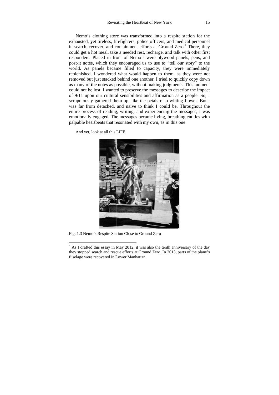Nemo's clothing store was transformed into a respite station for the exhausted, yet tireless, firefighters, police officers, and medical personnel in search, recover, and containment efforts at Ground Zero.<sup>4</sup> There, they could get a hot meal, take a needed rest, recharge, and talk with other first responders. Placed in front of Nemo's were plywood panels, pens, and post-it notes, which they encouraged us to use to "tell our story" to the world. As panels became filled to capacity, they were immediately replenished. . I wondered what would happen to th hem, as they were not removed but just stacked behind one another. I tried to quickly copy down as many of the notes as possible, without making judgments. This moment could not be lost. I wanted to preserve the messages to describe the impact of 9/11 upon our cultural sensibilities and affirmation as a people. So, I scrupulously gathered them up, like the petals of a wilting flower. But I was far from detached, and naïve to think I could be. Throughout the entire process of reading, writing, and experiencing the messages, I was emotionally engaged. The messages became living, breathing entities with palpable heartbeats that resonated with my own, as in this one.

And yet, l look at all this L LIFE.



Fig. 1.3 Nemo's Respite Station Close to Ground Zero

-

-

-

<sup>&</sup>lt;sup>4</sup> As I drafted this essay in May 2012, it was also the tenth anniversary of the day they stopped search and rescue efforts at Ground Zero. In 2013, parts of the plane's fuselage were recovered in Lower Manhattan.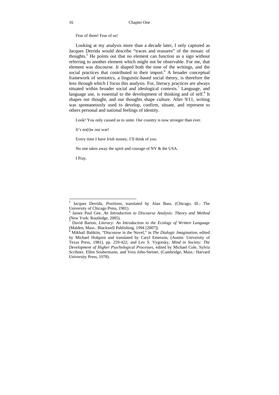Fear of them! Fear of us!

Looking at my analysis more than a decade later, I only captured as Jacques Derrida would describe "traces and erasures" of the mosaic of thoughts.<sup>5</sup> He points out that no element can function as a sign without referring to another element which might not be observable. For me, that element was discourse. It shaped both the tone of the writings, and the social practices that contributed to their import.<sup>6</sup> A broader conceptual framework of semiotics, a linguistic-based social theory, is therefore the lens through which I focus this analysis. For, literacy practices are always situated within broader social and ideological contexts.<sup>7</sup> Language, and language use, is essential to the development of thinking and of self. $8$  It shapes our thought, and our thoughts shape culture. After 9/11, writing was spontaneously used to develop, confirm, situate, and represent to others personal and national feelings of identity.

Look! You only caused us to unite. Our country is now stronger than ever.

It's no(t)w our war!

Every time I have Irish money, I'll think of you.

No one takes away the spirit and courage of NY & the USA.

I Pray.

l

<sup>5</sup> Jacques Derrida, *Positions,* translated by Alan Bass, (Chicago, Ill.: The University of Chicago Press, 1981).

<sup>6</sup> James Paul Gee, *An Introduction to Discourse Analysis: Theory and Method*  (New York: Routledge, 2005).

<sup>7</sup> David Barton, *Literacy: An Introduction to the Ecology of Written Language*  (Malden, Mass.: Blackwell Publishing, 1994 [2007])

Mikhail Bahktin, "Discourse in the Novel," in *The Dialogic Imagination*, edited by Michael Holquist and translated by Caryl Emerson, (Austin: University of Texas Press, 1981), pp. 259-422; and Lev S. Vygotsky, *Mind in Society: The Development of Higher Psychological Processes,* edited by Michael Cole, Sylvia Scribner, Ellen Soubermann, and Vera John-Steiner, (Cambridge, Mass.: Harvard University Press, 1978).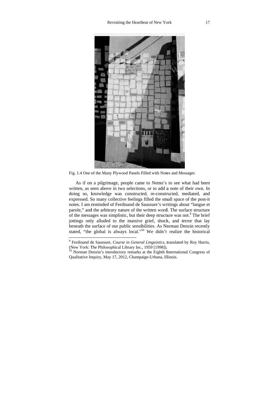

Fig. 1.4 One of the Many Plywood Panels Filled with Notes and Messages

As if on a pilgrimage, people came to Nemo's to see what had been written, as seen above in two selections, or to add a note of their own. In doing so, knowledge was constructed, re-constructed, mediated, and expressed. So many collective feelings filled the small space of the post-it notes. I am reminded of Ferdinand de Saussure's writings about "langue et parole," and the arbitrary nature of the written word. The surface structure of the messages was simplistic, but their deep structure was not.<sup>9</sup> The brief jottings only alluded to the massive grief, shock, and terror that lay beneath the surface of our public sensibilities. As Norman Denzin recently<br>stated "the global is always local."<sup>10</sup> We didn't realize the historical stated, "the global is always local."<sup>10</sup> We didn't realize the historical

l

l

l

<sup>&</sup>lt;sup>9</sup> Ferdinand de Saussure, *Course in General Linguistics*, translated by Roy Harris, The Philosophical Library Inc., 1959 [1998]).

<sup>(</sup>New York: The Philosophical Library Inc., 1959 [1998]).<br><sup>10</sup> Norman Denzin's introductory remarks at the Eighth International Congress of Qualitative Inquiry, May 17, 2012, Champaign-Urbana, Illinois.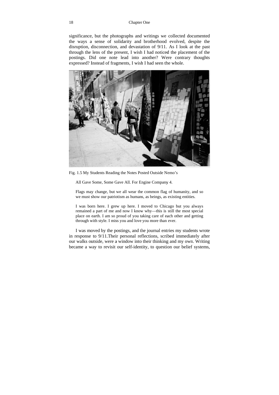significance, but the photographs and writings we collected documented the ways a sense of solidarity and brotherhood evolved, despite the disruption, disconnection, and devastation of  $9/11$ . As I look at the past through the lens of the present, I wish I had noticed the placement of the postings. Did one note lead into another? Were contrary thoughts expressed? Instead of fragments, I wish I had seen the whole.



Fig. 1.5 My Students Reading the Notes Posted Outside Nemo's

All Gave Some, Some Gave All. For Engine Company 4.

Flags may change, but we all wear the common flag of humanity, and so we must show our patriotism as humans, as beings, as existing entities.

I was born here. I grew up here. I moved to Chicago but you always remained a part of me and now I know why—this is still the most special place on earth. I am so proud of you taking care of each other and getting through with style. I miss you and love you more than ever.

I was moved by the postings, and the journal entries my students wrote in response to 9/11. Their personal reflections, scribed immediately after our walks outside, were a window into their thinking and my own. Writing became a way to revisit our self-identity, to question our belief systems,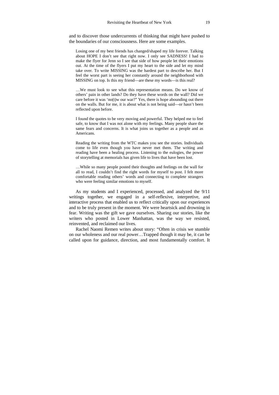and to discover those undercurrents of thinking that might have pushed to the boundaries of our consciousness. Here are some examples.

Losing one of my best friends has changed/shaped my life forever. Talking about HOPE I don't see that right now. I only see SADNESS! I had to make the flyer for Jenn so I see that side of how people let their emotions out. At the time of the flyers I put my heart to the side and let my mind take over. To write MISSING was the hardest part to describe her. But I feel the worst part is seeing her constantly around the neighborhood with MISSING on top. Is this my friend—are these my words—is this real?

…We must look to see what this representation means. Do we know of others' pain in other lands? Do they have these words on the wall? Did we care before it was 'no(t)w our war?" Yes, there is hope abounding out there on the walls. But for me, it is about what is not being said—or hasn't been reflected upon before.

I found the quotes to be very moving and powerful. They helped me to feel safe, to know that I was not alone with my feelings. Many people share the same fears and concerns. It is what joins us together as a people and as Americans.

Reading the writing from the WTC makes you see the stories. Individuals come to life even though you have never met them. The writing and reading have been a healing process. Listening to the eulogies, the power of storytelling at memorials has given life to lives that have been lost.

…While so many people posted their thoughts and feelings on the wall for all to read, I couldn't find the right words for myself to post. I felt more comfortable reading others' words and connecting to complete strangers who were feeling similar emotions to myself.

As my students and I experienced, processed, and analyzed the 9/11 writings together, we engaged in a self-reflexive, interpretive, and interactive process that enabled us to reflect critically upon our experiences and to be truly present in the moment. We were heartsick and drowning in fear. Writing was the gift we gave ourselves. Sharing our stories, like the writers who posted in Lower Manhattan, was the way we resisted, reinvented, and reclaimed our lives.

Rachel Naomi Remen writes about story: "Often in crisis we stumble on our wholeness and our real power…Trapped though it may be, it can be called upon for guidance, direction, and most fundamentally comfort. It